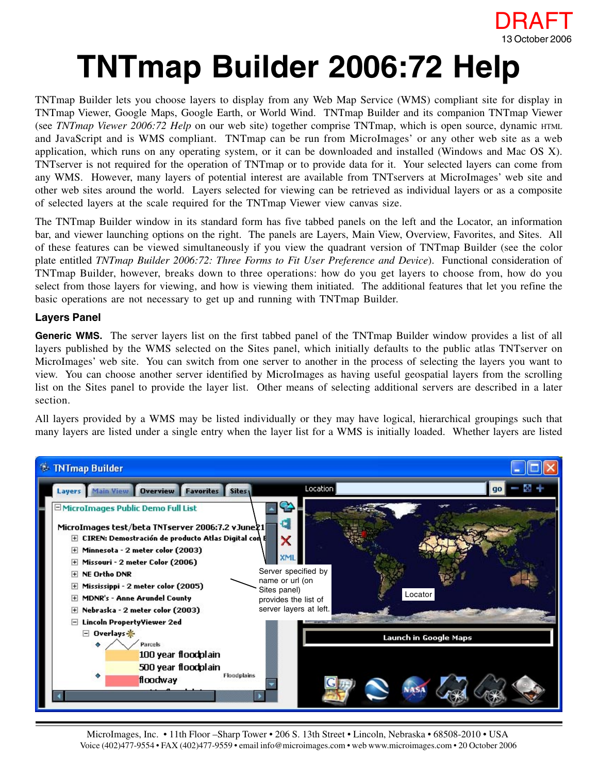

# **TNTmap Builder 2006:72 Help**

TNTmap Builder lets you choose layers to display from any Web Map Service (WMS) compliant site for display in TNTmap Viewer, Google Maps, Google Earth, or World Wind. TNTmap Builder and its companion TNTmap Viewer (see *TNTmap Viewer 2006:72 Help* on our web site) together comprise TNTmap, which is open source, dynamic HTML and JavaScript and is WMS compliant. TNTmap can be run from MicroImages' or any other web site as a web application, which runs on any operating system, or it can be downloaded and installed (Windows and Mac OS X). TNTserver is not required for the operation of TNTmap or to provide data for it. Your selected layers can come from any WMS. However, many layers of potential interest are available from TNTservers at MicroImages' web site and other web sites around the world. Layers selected for viewing can be retrieved as individual layers or as a composite of selected layers at the scale required for the TNTmap Viewer view canvas size.

The TNTmap Builder window in its standard form has five tabbed panels on the left and the Locator, an information bar, and viewer launching options on the right. The panels are Layers, Main View, Overview, Favorites, and Sites. All of these features can be viewed simultaneously if you view the quadrant version of TNTmap Builder (see the color plate entitled *TNTmap Builder 2006:72: Three Forms to Fit User Preference and Device*). Functional consideration of TNTmap Builder, however, breaks down to three operations: how do you get layers to choose from, how do you select from those layers for viewing, and how is viewing them initiated. The additional features that let you refine the basic operations are not necessary to get up and running with TNTmap Builder.

# **Layers Panel**

Generic WMS. The server layers list on the first tabbed panel of the TNTmap Builder window provides a list of all layers published by the WMS selected on the Sites panel, which initially defaults to the public atlas TNTserver on MicroImages' web site. You can switch from one server to another in the process of selecting the layers you want to view. You can choose another server identified by MicroImages as having useful geospatial layers from the scrolling list on the Sites panel to provide the layer list. Other means of selecting additional servers are described in a later section.

All layers provided by a WMS may be listed individually or they may have logical, hierarchical groupings such that many layers are listed under a single entry when the layer list for a WMS is initially loaded. Whether layers are listed

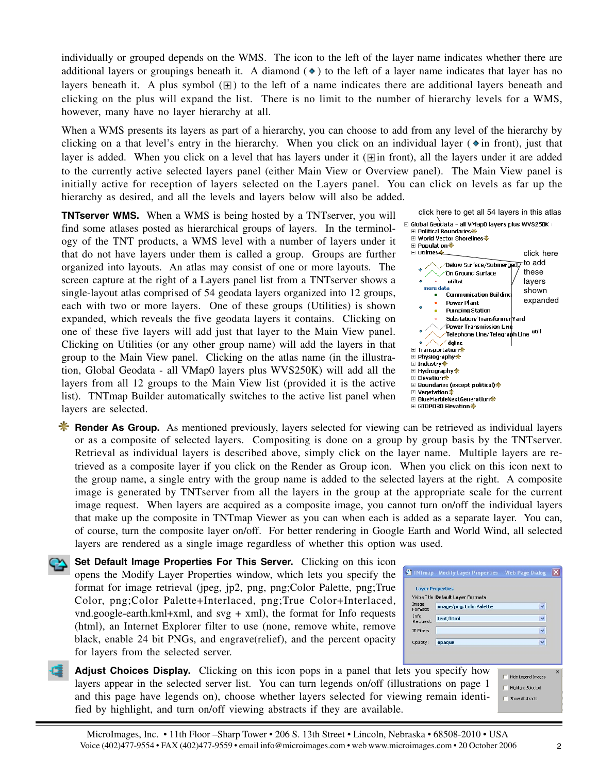individually or grouped depends on the WMS. The icon to the left of the layer name indicates whether there are additional layers or groupings beneath it. A diamond  $(\bullet)$  to the left of a layer name indicates that layer has no layers beneath it. A plus symbol  $(\mathbb{H})$  to the left of a name indicates there are additional layers beneath and clicking on the plus will expand the list. There is no limit to the number of hierarchy levels for a WMS, however, many have no layer hierarchy at all.

When a WMS presents its layers as part of a hierarchy, you can choose to add from any level of the hierarchy by clicking on a that level's entry in the hierarchy. When you click on an individual layer ( $\ast$  in front), just that layer is added. When you click on a level that has layers under it ( $\pm$ in front), all the layers under it are added to the currently active selected layers panel (either Main View or Overview panel). The Main View panel is initially active for reception of layers selected on the Layers panel. You can click on levels as far up the hierarchy as desired, and all the levels and layers below will also be added.

**TNTserver WMS.** When a WMS is being hosted by a TNTserver, you will find some atlases posted as hierarchical groups of layers. In the terminology of the TNT products, a WMS level with a number of layers under it that do not have layers under them is called a group. Groups are further organized into layouts. An atlas may consist of one or more layouts. The screen capture at the right of a Layers panel list from a TNTserver shows a single-layout atlas comprised of 54 geodata layers organized into 12 groups, each with two or more layers. One of these groups (Utilities) is shown expanded, which reveals the five geodata layers it contains. Clicking on one of these five layers will add just that layer to the Main View panel. Clicking on Utilities (or any other group name) will add the layers in that group to the Main View panel. Clicking on the atlas name (in the illustration, Global Geodata - all VMap0 layers plus WVS250K) will add all the layers from all 12 groups to the Main View list (provided it is the active list). TNTmap Builder automatically switches to the active list panel when layers are selected.



- **K** Render As Group. As mentioned previously, layers selected for viewing can be retrieved as individual layers or as a composite of selected layers. Compositing is done on a group by group basis by the TNTserver. Retrieval as individual layers is described above, simply click on the layer name. Multiple layers are retrieved as a composite layer if you click on the Render as Group icon. When you click on this icon next to the group name, a single entry with the group name is added to the selected layers at the right. A composite image is generated by TNTserver from all the layers in the group at the appropriate scale for the current image request. When layers are acquired as a composite image, you cannot turn on/off the individual layers that make up the composite in TNTmap Viewer as you can when each is added as a separate layer. You can, of course, turn the composite layer on/off. For better rendering in Google Earth and World Wind, all selected layers are rendered as a single image regardless of whether this option was used.
- **Set Default Image Properties For This Server.** Clicking on this icon opens the Modify Layer Properties window, which lets you specify the format for image retrieval (jpeg, jp2, png, png;Color Palette, png;True Color, png;Color Palette+Interlaced, png;True Color+Interlaced,  $vnd.google-earth.kml+xml$ , and  $svg + xml$ ), the format for Info requests (html), an Internet Explorer filter to use (none, remove white, remove black, enable 24 bit PNGs, and engrave(relief), and the percent opacity for layers from the selected server.
- **Adjust Choices Display.** Clicking on this icon pops in a panel that lets you specify how layers appear in the selected server list. You can turn legends on/off (illustrations on page 1 and this page have legends on), choose whether layers selected for viewing remain identified by highlight, and turn on/off viewing abstracts if they are available.

|                   | <b>Laver Properties</b>             |   |
|-------------------|-------------------------------------|---|
|                   | Visible Title Default Layer Formats |   |
| Image<br>Formats: | image/png; ColorPalette             | v |
| Info<br>Request:  | text/html                           | v |
| <b>IF Filters</b> |                                     | ŵ |
| Opacity:          | opaque                              | v |

Hide Legend Images  $\Box$  Highlight Selected Show Abstracts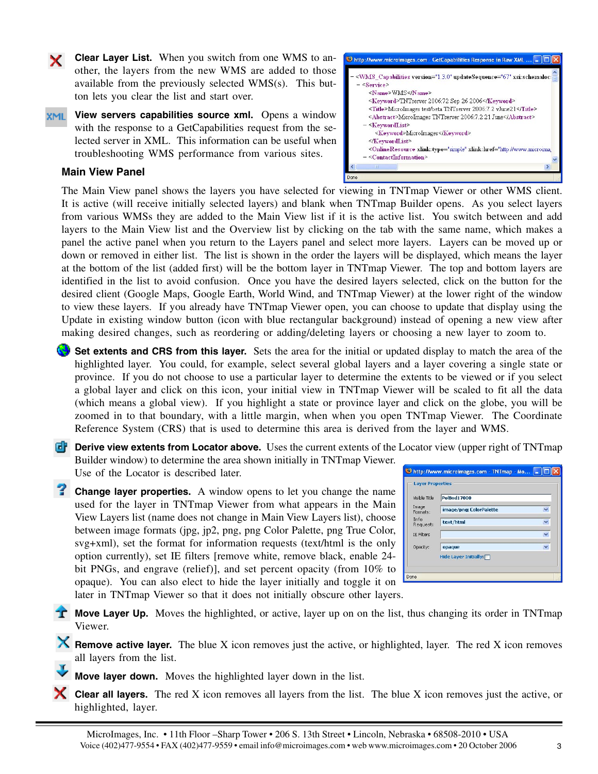**Clear Layer List.** When you switch from one WMS to another, the layers from the new WMS are added to those available from the previously selected WMS(s). This button lets you clear the list and start over.

**XML** View servers capabilities source xml. Opens a window with the response to a GetCapabilities request from the selected server in XML. This information can be useful when troubleshooting WMS performance from various sites.



×.



The Main View panel shows the layers you have selected for viewing in TNTmap Viewer or other WMS client. It is active (will receive initially selected layers) and blank when TNTmap Builder opens. As you select layers from various WMSs they are added to the Main View list if it is the active list. You switch between and add layers to the Main View list and the Overview list by clicking on the tab with the same name, which makes a panel the active panel when you return to the Layers panel and select more layers. Layers can be moved up or down or removed in either list. The list is shown in the order the layers will be displayed, which means the layer at the bottom of the list (added first) will be the bottom layer in TNTmap Viewer. The top and bottom layers are identified in the list to avoid confusion. Once you have the desired layers selected, click on the button for the desired client (Google Maps, Google Earth, World Wind, and TNTmap Viewer) at the lower right of the window to view these layers. If you already have TNTmap Viewer open, you can choose to update that display using the Update in existing window button (icon with blue rectangular background) instead of opening a new view after making desired changes, such as reordering or adding/deleting layers or choosing a new layer to zoom to.

- **Set extents and CRS from this layer.** Sets the area for the initial or updated display to match the area of the highlighted layer. You could, for example, select several global layers and a layer covering a single state or province. If you do not choose to use a particular layer to determine the extents to be viewed or if you select a global layer and click on this icon, your initial view in TNTmap Viewer will be scaled to fit all the data (which means a global view). If you highlight a state or province layer and click on the globe, you will be zoomed in to that boundary, with a little margin, when when you open TNTmap Viewer. The Coordinate Reference System (CRS) that is used to determine this area is derived from the layer and WMS.
- **Derive view extents from Locator above.** Uses the current extents of the Locator view (upper right of TNTmap Builder window) to determine the area shown initially in TNTmap Viewer. Use of the Locator is described later.
- **Change layer properties.** A window opens to let you change the name used for the layer in TNTmap Viewer from what appears in the Main View Layers list (name does not change in Main View Layers list), choose between image formats (jpg, jp2, png, png Color Palette, png True Color, svg+xml), set the format for information requests (text/html is the only option currently), set IE filters [remove white, remove black, enable 24 bit PNGs, and engrave (relief)], and set percent opacity (from 10% to opaque). You can also elect to hide the layer initially and toggle it on later in TNTmap Viewer so that it does not initially obscure other layers.

| Visible Title     | <b>PolBnd17000</b>      |                         |
|-------------------|-------------------------|-------------------------|
| Image<br>Formats: | image/png; ColorPalette | Ÿ                       |
| Info<br>Request:  | text/html               | Ÿ                       |
| <b>IE Filters</b> |                         | Ÿ                       |
| Opacity:          | opaque                  | $\overline{\mathbf{v}}$ |

- **T** Move Layer Up. Moves the highlighted, or active, layer up on on the list, thus changing its order in TNTmap Viewer.
- **K** Remove active layer. The blue X icon removes just the active, or highlighted, layer. The red X icon removes all layers from the list.
	- **Move layer down.** Moves the highlighted layer down in the list.
- **Clear all layers.** The red X icon removes all layers from the list. The blue X icon removes just the active, or highlighted, layer.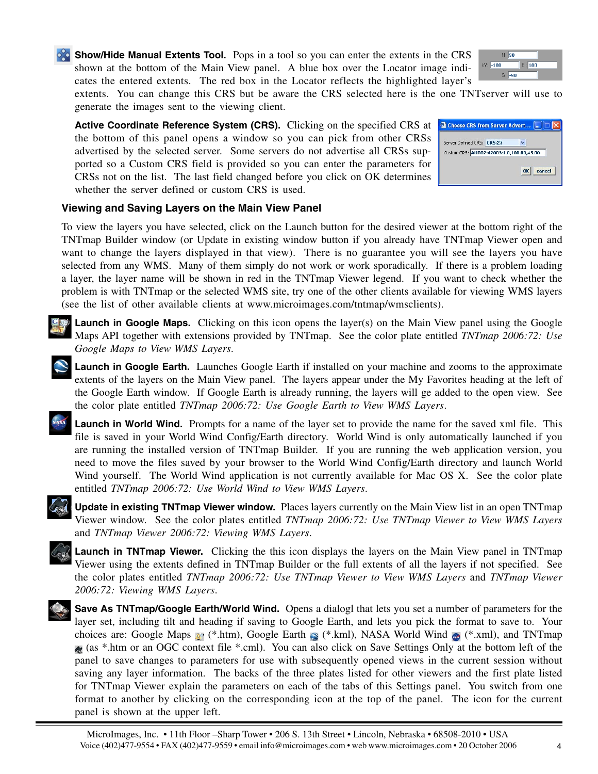**Show/Hide Manual Extents Tool.** Pops in a tool so you can enter the extents in the CRS shown at the bottom of the Main View panel. A blue box over the Locator image indicates the entered extents. The red box in the Locator reflects the highlighted layer's



extents. You can change this CRS but be aware the CRS selected here is the one TNTserver will use to generate the images sent to the viewing client.

**Active Coordinate Reference System (CRS).** Clicking on the specified CRS at the bottom of this panel opens a window so you can pick from other CRSs advertised by the selected server. Some servers do not advertise all CRSs supported so a Custom CRS field is provided so you can enter the parameters for CRSs not on the list. The last field changed before you click on OK determines whether the server defined or custom CRS is used.



## **Viewing and Saving Layers on the Main View Panel**

To view the layers you have selected, click on the Launch button for the desired viewer at the bottom right of the TNTmap Builder window (or Update in existing window button if you already have TNTmap Viewer open and want to change the layers displayed in that view). There is no guarantee you will see the layers you have selected from any WMS. Many of them simply do not work or work sporadically. If there is a problem loading a layer, the layer name will be shown in red in the TNTmap Viewer legend. If you want to check whether the problem is with TNTmap or the selected WMS site, try one of the other clients available for viewing WMS layers (see the list of other available clients at www.microimages.com/tntmap/wmsclients).



- **Launch in Google Earth.** Launches Google Earth if installed on your machine and zooms to the approximate extents of the layers on the Main View panel. The layers appear under the My Favorites heading at the left of the Google Earth window. If Google Earth is already running, the layers will ge added to the open view. See the color plate entitled *TNTmap 2006:72: Use Google Earth to View WMS Layers*.
- ASA **Launch in World Wind.** Prompts for a name of the layer set to provide the name for the saved xml file. This file is saved in your World Wind Config/Earth directory. World Wind is only automatically launched if you are running the installed version of TNTmap Builder. If you are running the web application version, you need to move the files saved by your browser to the World Wind Config/Earth directory and launch World Wind yourself. The World Wind application is not currently available for Mac OS X. See the color plate entitled *TNTmap 2006:72: Use World Wind to View WMS Layers*.



**Launch in TNTmap Viewer.** Clicking the this icon displays the layers on the Main View panel in TNTmap Viewer using the extents defined in TNTmap Builder or the full extents of all the layers if not specified. See the color plates entitled *TNTmap 2006:72: Use TNTmap Viewer to View WMS Layers* and *TNTmap Viewer 2006:72: Viewing WMS Layers*.

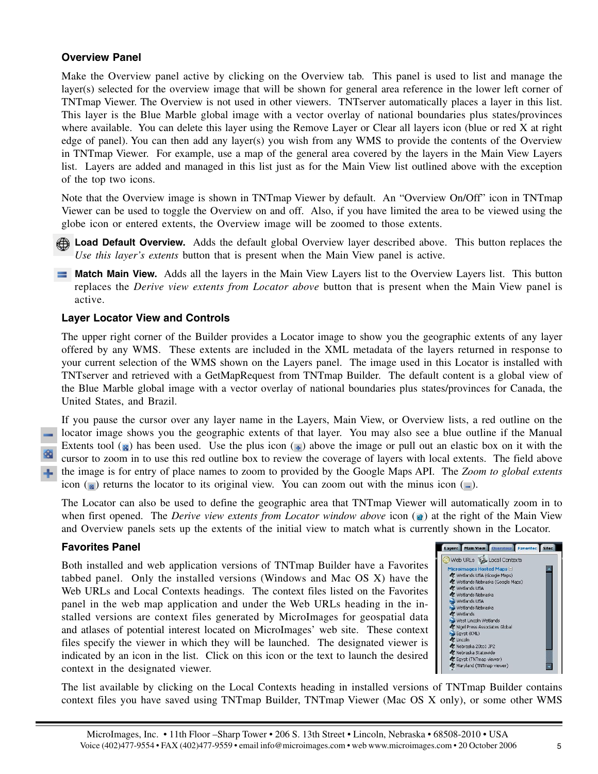## **Overview Panel**

Make the Overview panel active by clicking on the Overview tab. This panel is used to list and manage the layer(s) selected for the overview image that will be shown for general area reference in the lower left corner of TNTmap Viewer. The Overview is not used in other viewers. TNTserver automatically places a layer in this list. This layer is the Blue Marble global image with a vector overlay of national boundaries plus states/provinces where available. You can delete this layer using the Remove Layer or Clear all layers icon (blue or red X at right edge of panel). You can then add any layer(s) you wish from any WMS to provide the contents of the Overview in TNTmap Viewer. For example, use a map of the general area covered by the layers in the Main View Layers list. Layers are added and managed in this list just as for the Main View list outlined above with the exception of the top two icons.

Note that the Overview image is shown in TNTmap Viewer by default. An "Overview On/Off" icon in TNTmap Viewer can be used to toggle the Overview on and off. Also, if you have limited the area to be viewed using the globe icon or entered extents, the Overview image will be zoomed to those extents.

**Load Default Overview.** Adds the default global Overview layer described above. This button replaces the *Use this layer's extents* button that is present when the Main View panel is active.

**Match Main View.** Adds all the layers in the Main View Layers list to the Overview Layers list. This button replaces the *Derive view extents from Locator above* button that is present when the Main View panel is active.

#### **Layer Locator View and Controls**

The upper right corner of the Builder provides a Locator image to show you the geographic extents of any layer offered by any WMS. These extents are included in the XML metadata of the layers returned in response to your current selection of the WMS shown on the Layers panel. The image used in this Locator is installed with TNTserver and retrieved with a GetMapRequest from TNTmap Builder. The default content is a global view of the Blue Marble global image with a vector overlay of national boundaries plus states/provinces for Canada, the United States, and Brazil.

If you pause the cursor over any layer name in the Layers, Main View, or Overview lists, a red outline on the locator image shows you the geographic extents of that layer. You may also see a blue outline if the Manual Extents tool ( $\alpha$ ) has been used. Use the plus icon ( $\mp$ ) above the image or pull out an elastic box on it with the cursor to zoom in to use this red outline box to review the coverage of layers with local extents. The field above the image is for entry of place names to zoom to provided by the Google Maps API. The *Zoom to global extents* icon ( $\alpha$ ) returns the locator to its original view. You can zoom out with the minus icon ( $\alpha$ ).

The Locator can also be used to define the geographic area that TNTmap Viewer will automatically zoom in to when first opened. The *Derive view extents from Locator window above* icon ( $\bullet$ ) at the right of the Main View and Overview panels sets up the extents of the initial view to match what is currently shown in the Locator.

#### **Favorites Panel**

Both installed and web application versions of TNTmap Builder have a Favorites tabbed panel. Only the installed versions (Windows and Mac OS X) have the Web URLs and Local Contexts headings. The context files listed on the Favorites panel in the web map application and under the Web URLs heading in the installed versions are context files generated by MicroImages for geospatial data and atlases of potential interest located on MicroImages' web site. These context files specify the viewer in which they will be launched. The designated viewer is indicated by an icon in the list. Click on this icon or the text to launch the desired context in the designated viewer.



The list available by clicking on the Local Contexts heading in installed versions of TNTmap Builder contains context files you have saved using TNTmap Builder, TNTmap Viewer (Mac OS X only), or some other WMS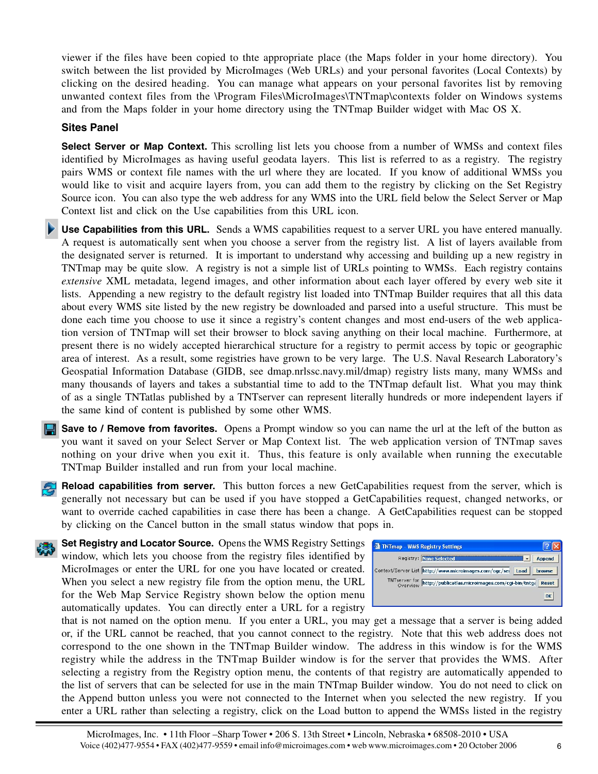viewer if the files have been copied to thte appropriate place (the Maps folder in your home directory). You switch between the list provided by MicroImages (Web URLs) and your personal favorites (Local Contexts) by clicking on the desired heading. You can manage what appears on your personal favorites list by removing unwanted context files from the \Program Files\MicroImages\TNTmap\contexts folder on Windows systems and from the Maps folder in your home directory using the TNTmap Builder widget with Mac OS X.

#### **Sites Panel**

**Select Server or Map Context.** This scrolling list lets you choose from a number of WMSs and context files identified by MicroImages as having useful geodata layers. This list is referred to as a registry. The registry pairs WMS or context file names with the url where they are located. If you know of additional WMSs you would like to visit and acquire layers from, you can add them to the registry by clicking on the Set Registry Source icon. You can also type the web address for any WMS into the URL field below the Select Server or Map Context list and click on the Use capabilities from this URL icon.

**Use Capabilities from this URL.** Sends a WMS capabilities request to a server URL you have entered manually. A request is automatically sent when you choose a server from the registry list. A list of layers available from the designated server is returned. It is important to understand why accessing and building up a new registry in TNTmap may be quite slow. A registry is not a simple list of URLs pointing to WMSs. Each registry contains *extensive* XML metadata, legend images, and other information about each layer offered by every web site it lists. Appending a new registry to the default registry list loaded into TNTmap Builder requires that all this data about every WMS site listed by the new registry be downloaded and parsed into a useful structure. This must be done each time you choose to use it since a registry's content changes and most end-users of the web application version of TNTmap will set their browser to block saving anything on their local machine. Furthermore, at present there is no widely accepted hierarchical structure for a registry to permit access by topic or geographic area of interest. As a result, some registries have grown to be very large. The U.S. Naval Research Laboratory's Geospatial Information Database (GIDB, see dmap.nrlssc.navy.mil/dmap) registry lists many, many WMSs and many thousands of layers and takes a substantial time to add to the TNTmap default list. What you may think of as a single TNTatlas published by a TNTserver can represent literally hundreds or more independent layers if the same kind of content is published by some other WMS.

**Save to / Remove from favorites.** Opens a Prompt window so you can name the url at the left of the button as you want it saved on your Select Server or Map Context list. The web application version of TNTmap saves nothing on your drive when you exit it. Thus, this feature is only available when running the executable TNTmap Builder installed and run from your local machine.

**Reload capabilities from server.** This button forces a new GetCapabilities request from the server, which is generally not necessary but can be used if you have stopped a GetCapabilities request, changed networks, or want to override cached capabilities in case there has been a change. A GetCapabilities request can be stopped by clicking on the Cancel button in the small status window that pops in.



**Set Registry and Locator Source.** Opens the WMS Registry Settings window, which lets you choose from the registry files identified by MicroImages or enter the URL for one you have located or created. When you select a new registry file from the option menu, the URL for the Web Map Service Registry shown below the option menu automatically updates. You can directly enter a URL for a registry



that is not named on the option menu. If you enter a URL, you may get a message that a server is being added or, if the URL cannot be reached, that you cannot connect to the registry. Note that this web address does not correspond to the one shown in the TNTmap Builder window. The address in this window is for the WMS registry while the address in the TNTmap Builder window is for the server that provides the WMS. After selecting a registry from the Registry option menu, the contents of that registry are automatically appended to the list of servers that can be selected for use in the main TNTmap Builder window. You do not need to click on the Append button unless you were not connected to the Internet when you selected the new registry. If you enter a URL rather than selecting a registry, click on the Load button to append the WMSs listed in the registry